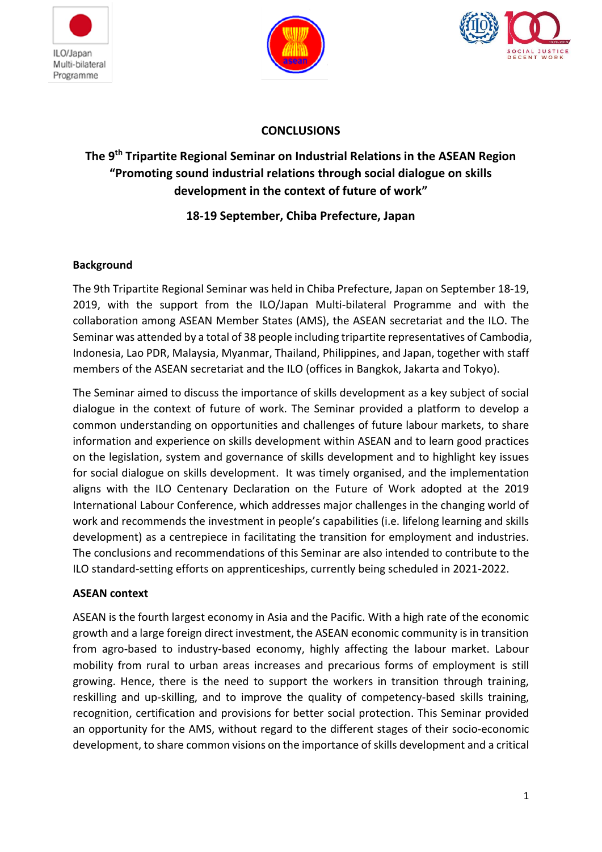





## **CONCLUSIONS**

# **The 9th Tripartite Regional Seminar on Industrial Relations in the ASEAN Region "Promoting sound industrial relations through social dialogue on skills development in the context of future of work"**

## **18-19 September, Chiba Prefecture, Japan**

### **Background**

The 9th Tripartite Regional Seminar was held in Chiba Prefecture, Japan on September 18-19, 2019, with the support from the ILO/Japan Multi-bilateral Programme and with the collaboration among ASEAN Member States (AMS), the ASEAN secretariat and the ILO. The Seminar was attended by a total of 38 people including tripartite representatives of Cambodia, Indonesia, Lao PDR, Malaysia, Myanmar, Thailand, Philippines, and Japan, together with staff members of the ASEAN secretariat and the ILO (offices in Bangkok, Jakarta and Tokyo).

The Seminar aimed to discuss the importance of skills development as a key subject of social dialogue in the context of future of work. The Seminar provided a platform to develop a common understanding on opportunities and challenges of future labour markets, to share information and experience on skills development within ASEAN and to learn good practices on the legislation, system and governance of skills development and to highlight key issues for social dialogue on skills development. It was timely organised, and the implementation aligns with the ILO Centenary Declaration on the Future of Work adopted at the 2019 International Labour Conference, which addresses major challenges in the changing world of work and recommends the investment in people's capabilities (i.e. lifelong learning and skills development) as a centrepiece in facilitating the transition for employment and industries. The conclusions and recommendations of this Seminar are also intended to contribute to the ILO standard-setting efforts on apprenticeships, currently being scheduled in 2021-2022.

### **ASEAN context**

ASEAN is the fourth largest economy in Asia and the Pacific. With a high rate of the economic growth and a large foreign direct investment, the ASEAN economic community is in transition from agro-based to industry-based economy, highly affecting the labour market. Labour mobility from rural to urban areas increases and precarious forms of employment is still growing. Hence, there is the need to support the workers in transition through training, reskilling and up-skilling, and to improve the quality of competency-based skills training, recognition, certification and provisions for better social protection. This Seminar provided an opportunity for the AMS, without regard to the different stages of their socio-economic development, to share common visions on the importance of skills development and a critical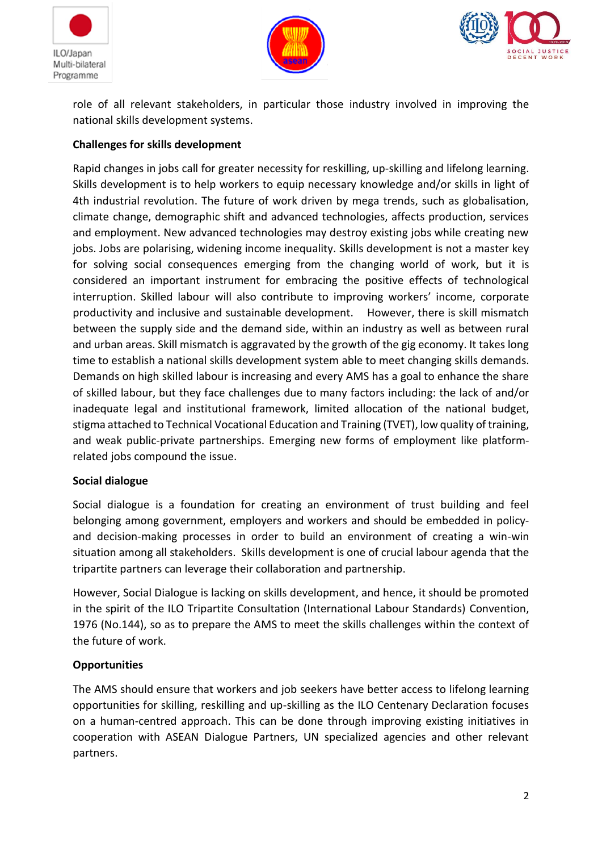





role of all relevant stakeholders, in particular those industry involved in improving the national skills development systems.

### **Challenges for skills development**

Rapid changes in jobs call for greater necessity for reskilling, up-skilling and lifelong learning. Skills development is to help workers to equip necessary knowledge and/or skills in light of 4th industrial revolution. The future of work driven by mega trends, such as globalisation, climate change, demographic shift and advanced technologies, affects production, services and employment. New advanced technologies may destroy existing jobs while creating new jobs. Jobs are polarising, widening income inequality. Skills development is not a master key for solving social consequences emerging from the changing world of work, but it is considered an important instrument for embracing the positive effects of technological interruption. Skilled labour will also contribute to improving workers' income, corporate productivity and inclusive and sustainable development. However, there is skill mismatch between the supply side and the demand side, within an industry as well as between rural and urban areas. Skill mismatch is aggravated by the growth of the gig economy. It takes long time to establish a national skills development system able to meet changing skills demands. Demands on high skilled labour is increasing and every AMS has a goal to enhance the share of skilled labour, but they face challenges due to many factors including: the lack of and/or inadequate legal and institutional framework, limited allocation of the national budget, stigma attached to Technical Vocational Education and Training (TVET), low quality of training, and weak public-private partnerships. Emerging new forms of employment like platformrelated jobs compound the issue.

### **Social dialogue**

Social dialogue is a foundation for creating an environment of trust building and feel belonging among government, employers and workers and should be embedded in policyand decision-making processes in order to build an environment of creating a win-win situation among all stakeholders. Skills development is one of crucial labour agenda that the tripartite partners can leverage their collaboration and partnership.

However, Social Dialogue is lacking on skills development, and hence, it should be promoted in the spirit of the ILO Tripartite Consultation (International Labour Standards) Convention, 1976 (No.144), so as to prepare the AMS to meet the skills challenges within the context of the future of work.

### **Opportunities**

The AMS should ensure that workers and job seekers have better access to lifelong learning opportunities for skilling, reskilling and up-skilling as the ILO Centenary Declaration focuses on a human-centred approach. This can be done through improving existing initiatives in cooperation with ASEAN Dialogue Partners, UN specialized agencies and other relevant partners.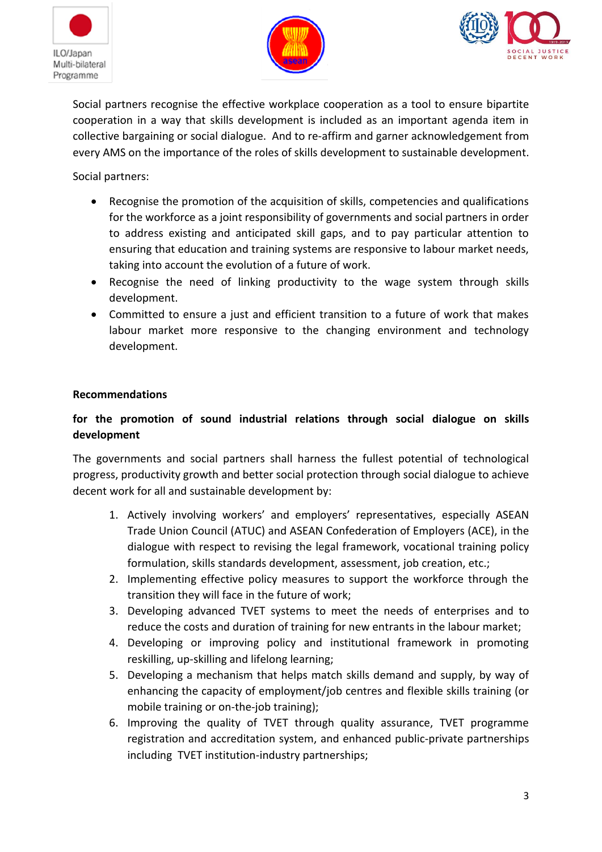





Social partners recognise the effective workplace cooperation as a tool to ensure bipartite cooperation in a way that skills development is included as an important agenda item in collective bargaining or social dialogue. And to re-affirm and garner acknowledgement from every AMS on the importance of the roles of skills development to sustainable development.

### Social partners:

- Recognise the promotion of the acquisition of skills, competencies and qualifications for the workforce as a joint responsibility of governments and social partners in order to address existing and anticipated skill gaps, and to pay particular attention to ensuring that education and training systems are responsive to labour market needs, taking into account the evolution of a future of work.
- Recognise the need of linking productivity to the wage system through skills development.
- Committed to ensure a just and efficient transition to a future of work that makes labour market more responsive to the changing environment and technology development.

#### **Recommendations**

### **for the promotion of sound industrial relations through social dialogue on skills development**

The governments and social partners shall harness the fullest potential of technological progress, productivity growth and better social protection through social dialogue to achieve decent work for all and sustainable development by:

- 1. Actively involving workers' and employers' representatives, especially ASEAN Trade Union Council (ATUC) and ASEAN Confederation of Employers (ACE), in the dialogue with respect to revising the legal framework, vocational training policy formulation, skills standards development, assessment, job creation, etc.;
- 2. Implementing effective policy measures to support the workforce through the transition they will face in the future of work;
- 3. Developing advanced TVET systems to meet the needs of enterprises and to reduce the costs and duration of training for new entrants in the labour market;
- 4. Developing or improving policy and institutional framework in promoting reskilling, up-skilling and lifelong learning;
- 5. Developing a mechanism that helps match skills demand and supply, by way of enhancing the capacity of employment/job centres and flexible skills training (or mobile training or on-the-job training);
- 6. Improving the quality of TVET through quality assurance, TVET programme registration and accreditation system, and enhanced public-private partnerships including TVET institution-industry partnerships;